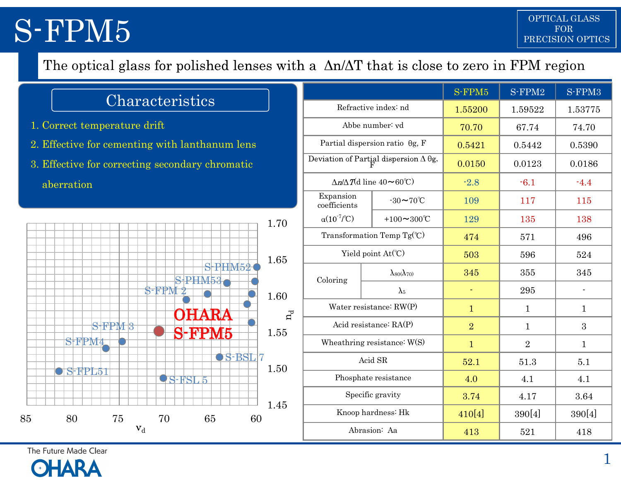| Characteristics |  |
|-----------------|--|
|                 |  |

- 
- 
- 



| The optical glass for polished lenses with a $\Delta n/\Delta T$ that is close to zero in FPM region<br>S-FPM2<br>S-FPM3<br>S-FPM5<br>Characteristics<br>Refractive index: nd<br>1.55200<br>1.59522<br>1.53775<br>1. Correct temperature drift<br>Abbe number: vd<br>74.70<br>70.70<br>67.74<br>Partial dispersion ratio $\theta$ g, F<br>2. Effective for cementing with lanthanum lens<br>0.5390<br>0.5421<br>0.5442<br>Deviation of Partial dispersion $\Delta \theta$ g,<br>3. Effective for correcting secondary chromatic<br>0.0150<br>0.0123<br>0.0186<br>$\Delta n/\Delta T$ (d line 40~60°C)<br>$-2.8$<br>$-4.4$<br>$-6.1$<br>aberration<br>Expansion<br>$-30\sim70^{\circ}$ C<br>115<br>109<br>117<br>coefficients<br>$\alpha(10^{7}/\text{C})$<br>+100 $\sim$ 300°C<br>138<br>129<br>135<br>1.70<br>Transformation Temp $Tg^{\circ}C$ )<br>496<br>474<br>571<br>Yield point At(°C)<br>524<br>503<br>596<br>1.65<br>S-PHM52<br>345<br>$\lambda_{80}(\lambda_{70})$<br>345<br>355<br>$S$ -PHM53<br>Coloring<br>$S$ -FPM $2$<br>295<br>$\lambda_5$<br>$\blacksquare$<br>$\sim$<br>1.60<br>Water resistance: RW(P)<br>$\mathbf{1}$<br>$\mathbf{1}$<br>$\mathbf{1}$<br><b>OHARA</b><br>$\mathtt{n}_\mathtt{d}$<br>$S$ FPM $3$<br>Acid resistance: RA(P)<br>$\overline{2}$<br>3<br>$\mathbf{1}$<br><b>S-FPM5</b><br>1.55<br>SFPM4<br>Wheathring resistance: W(S)<br>$\overline{2}$<br>$\mathbf{1}$<br>$\mathbf{1}$<br>$\bullet$ S-BSL $_7$<br>Acid SR<br>5.1<br>52.1<br>51.3<br>1.50<br>$\bigcirc$ SEPL51<br>Phosphate resistance<br>4.1<br>4.0<br>4.1<br><b>QS-RSL5</b> |
|-------------------------------------------------------------------------------------------------------------------------------------------------------------------------------------------------------------------------------------------------------------------------------------------------------------------------------------------------------------------------------------------------------------------------------------------------------------------------------------------------------------------------------------------------------------------------------------------------------------------------------------------------------------------------------------------------------------------------------------------------------------------------------------------------------------------------------------------------------------------------------------------------------------------------------------------------------------------------------------------------------------------------------------------------------------------------------------------------------------------------------------------------------------------------------------------------------------------------------------------------------------------------------------------------------------------------------------------------------------------------------------------------------------------------------------------------------------------------------------------------------------------------------------------------------------------------------|
|                                                                                                                                                                                                                                                                                                                                                                                                                                                                                                                                                                                                                                                                                                                                                                                                                                                                                                                                                                                                                                                                                                                                                                                                                                                                                                                                                                                                                                                                                                                                                                               |
|                                                                                                                                                                                                                                                                                                                                                                                                                                                                                                                                                                                                                                                                                                                                                                                                                                                                                                                                                                                                                                                                                                                                                                                                                                                                                                                                                                                                                                                                                                                                                                               |
|                                                                                                                                                                                                                                                                                                                                                                                                                                                                                                                                                                                                                                                                                                                                                                                                                                                                                                                                                                                                                                                                                                                                                                                                                                                                                                                                                                                                                                                                                                                                                                               |
|                                                                                                                                                                                                                                                                                                                                                                                                                                                                                                                                                                                                                                                                                                                                                                                                                                                                                                                                                                                                                                                                                                                                                                                                                                                                                                                                                                                                                                                                                                                                                                               |
|                                                                                                                                                                                                                                                                                                                                                                                                                                                                                                                                                                                                                                                                                                                                                                                                                                                                                                                                                                                                                                                                                                                                                                                                                                                                                                                                                                                                                                                                                                                                                                               |
|                                                                                                                                                                                                                                                                                                                                                                                                                                                                                                                                                                                                                                                                                                                                                                                                                                                                                                                                                                                                                                                                                                                                                                                                                                                                                                                                                                                                                                                                                                                                                                               |
|                                                                                                                                                                                                                                                                                                                                                                                                                                                                                                                                                                                                                                                                                                                                                                                                                                                                                                                                                                                                                                                                                                                                                                                                                                                                                                                                                                                                                                                                                                                                                                               |
|                                                                                                                                                                                                                                                                                                                                                                                                                                                                                                                                                                                                                                                                                                                                                                                                                                                                                                                                                                                                                                                                                                                                                                                                                                                                                                                                                                                                                                                                                                                                                                               |
|                                                                                                                                                                                                                                                                                                                                                                                                                                                                                                                                                                                                                                                                                                                                                                                                                                                                                                                                                                                                                                                                                                                                                                                                                                                                                                                                                                                                                                                                                                                                                                               |
|                                                                                                                                                                                                                                                                                                                                                                                                                                                                                                                                                                                                                                                                                                                                                                                                                                                                                                                                                                                                                                                                                                                                                                                                                                                                                                                                                                                                                                                                                                                                                                               |
|                                                                                                                                                                                                                                                                                                                                                                                                                                                                                                                                                                                                                                                                                                                                                                                                                                                                                                                                                                                                                                                                                                                                                                                                                                                                                                                                                                                                                                                                                                                                                                               |
|                                                                                                                                                                                                                                                                                                                                                                                                                                                                                                                                                                                                                                                                                                                                                                                                                                                                                                                                                                                                                                                                                                                                                                                                                                                                                                                                                                                                                                                                                                                                                                               |
|                                                                                                                                                                                                                                                                                                                                                                                                                                                                                                                                                                                                                                                                                                                                                                                                                                                                                                                                                                                                                                                                                                                                                                                                                                                                                                                                                                                                                                                                                                                                                                               |
|                                                                                                                                                                                                                                                                                                                                                                                                                                                                                                                                                                                                                                                                                                                                                                                                                                                                                                                                                                                                                                                                                                                                                                                                                                                                                                                                                                                                                                                                                                                                                                               |
|                                                                                                                                                                                                                                                                                                                                                                                                                                                                                                                                                                                                                                                                                                                                                                                                                                                                                                                                                                                                                                                                                                                                                                                                                                                                                                                                                                                                                                                                                                                                                                               |
|                                                                                                                                                                                                                                                                                                                                                                                                                                                                                                                                                                                                                                                                                                                                                                                                                                                                                                                                                                                                                                                                                                                                                                                                                                                                                                                                                                                                                                                                                                                                                                               |
|                                                                                                                                                                                                                                                                                                                                                                                                                                                                                                                                                                                                                                                                                                                                                                                                                                                                                                                                                                                                                                                                                                                                                                                                                                                                                                                                                                                                                                                                                                                                                                               |
|                                                                                                                                                                                                                                                                                                                                                                                                                                                                                                                                                                                                                                                                                                                                                                                                                                                                                                                                                                                                                                                                                                                                                                                                                                                                                                                                                                                                                                                                                                                                                                               |
| Specific gravity<br>3.74<br>3.64<br>4.17<br>1.45                                                                                                                                                                                                                                                                                                                                                                                                                                                                                                                                                                                                                                                                                                                                                                                                                                                                                                                                                                                                                                                                                                                                                                                                                                                                                                                                                                                                                                                                                                                              |
| Knoop hardness: Hk<br>390[4]<br>390[4]<br>410[4]<br>75<br>70<br>60<br>80<br>65                                                                                                                                                                                                                                                                                                                                                                                                                                                                                                                                                                                                                                                                                                                                                                                                                                                                                                                                                                                                                                                                                                                                                                                                                                                                                                                                                                                                                                                                                                |
| $\mathbf{v}_\mathrm{d}$<br>Abrasion: Aa<br>418<br>413<br>521                                                                                                                                                                                                                                                                                                                                                                                                                                                                                                                                                                                                                                                                                                                                                                                                                                                                                                                                                                                                                                                                                                                                                                                                                                                                                                                                                                                                                                                                                                                  |

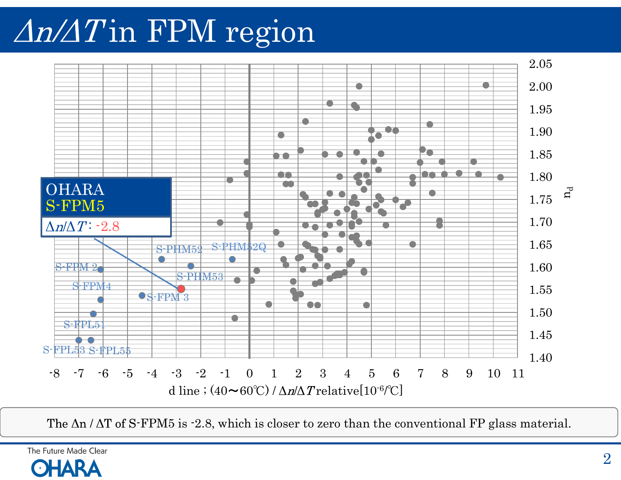